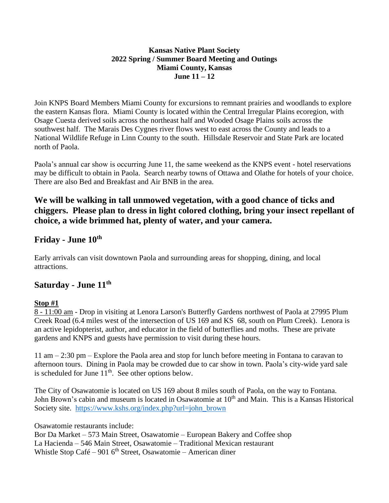#### **Kansas Native Plant Society 2022 Spring / Summer Board Meeting and Outings Miami County, Kansas June 11 – 12**

Join KNPS Board Members Miami County for excursions to remnant prairies and woodlands to explore the eastern Kansas flora. Miami County is located within the Central Irregular Plains ecoregion, with Osage Cuesta derived soils across the northeast half and Wooded Osage Plains soils across the southwest half. The Marais Des Cygnes river flows west to east across the County and leads to a National Wildlife Refuge in Linn County to the south. Hillsdale Reservoir and State Park are located north of Paola.

Paola's annual car show is occurring June 11, the same weekend as the KNPS event - hotel reservations may be difficult to obtain in Paola. Search nearby towns of Ottawa and Olathe for hotels of your choice. There are also Bed and Breakfast and Air BNB in the area.

## **We will be walking in tall unmowed vegetation, with a good chance of ticks and chiggers. Please plan to dress in light colored clothing, bring your insect repellant of choice, a wide brimmed hat, plenty of water, and your camera.**

### **Friday - June 10th**

Early arrivals can visit downtown Paola and surrounding areas for shopping, dining, and local attractions.

### **Saturday - June 11th**

#### **Stop #1**

8 - 11:00 am - Drop in visiting at Lenora Larson's Butterfly Gardens northwest of Paola at 27995 Plum Creek Road (6.4 miles west of the intersection of US 169 and KS 68, south on Plum Creek). Lenora is an active lepidopterist, author, and educator in the field of butterflies and moths. These are private gardens and KNPS and guests have permission to visit during these hours.

11 am – 2:30 pm – Explore the Paola area and stop for lunch before meeting in Fontana to caravan to afternoon tours. Dining in Paola may be crowded due to car show in town. Paola's city-wide yard sale is scheduled for June  $11<sup>th</sup>$ . See other options below.

The City of Osawatomie is located on US 169 about 8 miles south of Paola, on the way to Fontana. John Brown's cabin and museum is located in Osawatomie at 10<sup>th</sup> and Main. This is a Kansas Historical Society site. [https://www.kshs.org/index.php?url=john\\_brown](https://www.kshs.org/index.php?url=john_brown)

Osawatomie restaurants include:

Bor Da Market – 573 Main Street, Osawatomie – European Bakery and Coffee shop La Hacienda – 546 Main Street, Osawatomie – Traditional Mexican restaurant Whistle Stop Café – 901  $6<sup>th</sup>$  Street, Osawatomie – American diner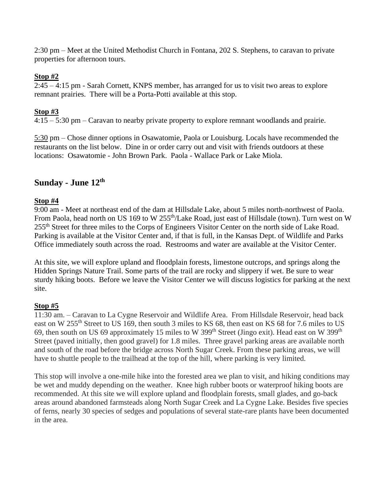2:30 pm – Meet at the United Methodist Church in Fontana, 202 S. Stephens, to caravan to private properties for afternoon tours.

#### **Stop #2**

2:45 – 4:15 pm - Sarah Cornett, KNPS member, has arranged for us to visit two areas to explore remnant prairies. There will be a Porta-Potti available at this stop.

#### **Stop #3**

4:15 – 5:30 pm – Caravan to nearby private property to explore remnant woodlands and prairie.

5:30 pm – Chose dinner options in Osawatomie, Paola or Louisburg. Locals have recommended the restaurants on the list below. Dine in or order carry out and visit with friends outdoors at these locations: Osawatomie - John Brown Park. Paola - Wallace Park or Lake Miola.

### **Sunday - June 12th**

#### **Stop #4**

9:00 am - Meet at northeast end of the dam at Hillsdale Lake, about 5 miles north-northwest of Paola. From Paola, head north on US 169 to W 255<sup>th</sup>/Lake Road, just east of Hillsdale (town). Turn west on W 255th Street for three miles to the Corps of Engineers Visitor Center on the north side of Lake Road. Parking is available at the Visitor Center and, if that is full, in the Kansas Dept. of Wildlife and Parks Office immediately south across the road. Restrooms and water are available at the Visitor Center.

At this site, we will explore upland and floodplain forests, limestone outcrops, and springs along the Hidden Springs Nature Trail. Some parts of the trail are rocky and slippery if wet. Be sure to wear sturdy hiking boots. Before we leave the Visitor Center we will discuss logistics for parking at the next site.

#### **Stop #5**

11:30 am. – Caravan to La Cygne Reservoir and Wildlife Area. From Hillsdale Reservoir, head back east on W 255<sup>th</sup> Street to US 169, then south 3 miles to KS 68, then east on KS 68 for 7.6 miles to US 69, then south on US 69 approximately 15 miles to W 399<sup>th</sup> Street (Jingo exit). Head east on W 399<sup>th</sup> Street (paved initially, then good gravel) for 1.8 miles. Three gravel parking areas are available north and south of the road before the bridge across North Sugar Creek. From these parking areas, we will have to shuttle people to the trailhead at the top of the hill, where parking is very limited.

This stop will involve a one-mile hike into the forested area we plan to visit, and hiking conditions may be wet and muddy depending on the weather. Knee high rubber boots or waterproof hiking boots are recommended. At this site we will explore upland and floodplain forests, small glades, and go-back areas around abandoned farmsteads along North Sugar Creek and La Cygne Lake. Besides five species of ferns, nearly 30 species of sedges and populations of several state-rare plants have been documented in the area.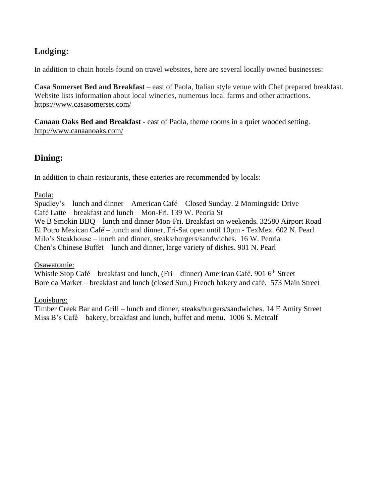# **Lodging:**

In addition to chain hotels found on travel websites, here are several locally owned businesses:

**Casa Somerset Bed and Breakfast** – east of Paola, Italian style venue with Chef prepared breakfast. Website lists information about local wineries, numerous local farms and other attractions. <https://www.casasomerset.com/>

**Canaan Oaks Bed and Breakfast** - east of Paola, theme rooms in a quiet wooded setting. http://www.canaanoaks.com/

# **Dining:**

In addition to chain restaurants, these eateries are recommended by locals:

Paola:

Spudley's – lunch and dinner – American Café – Closed Sunday. 2 Morningside Drive Café Latte – breakfast and lunch – Mon-Fri. 139 W. Peoria St We B Smokin BBQ – lunch and dinner Mon-Fri. Breakfast on weekends. 32580 Airport Road El Potro Mexican Café – lunch and dinner, Fri-Sat open until 10pm - TexMex. 602 N. Pearl Milo's Steakhouse – lunch and dinner, steaks/burgers/sandwiches. 16 W. Peoria Chen's Chinese Buffet – lunch and dinner, large variety of dishes. 901 N. Pearl

Osawatomie:

Whistle Stop Café – breakfast and lunch, (Fri – dinner) American Café. 901  $6<sup>th</sup>$  Street Bore da Market – breakfast and lunch (closed Sun.) French bakery and café. 573 Main Street

Louisburg:

Timber Creek Bar and Grill – lunch and dinner, steaks/burgers/sandwiches. 14 E Amity Street Miss B's Café – bakery, breakfast and lunch, buffet and menu. 1006 S. Metcalf